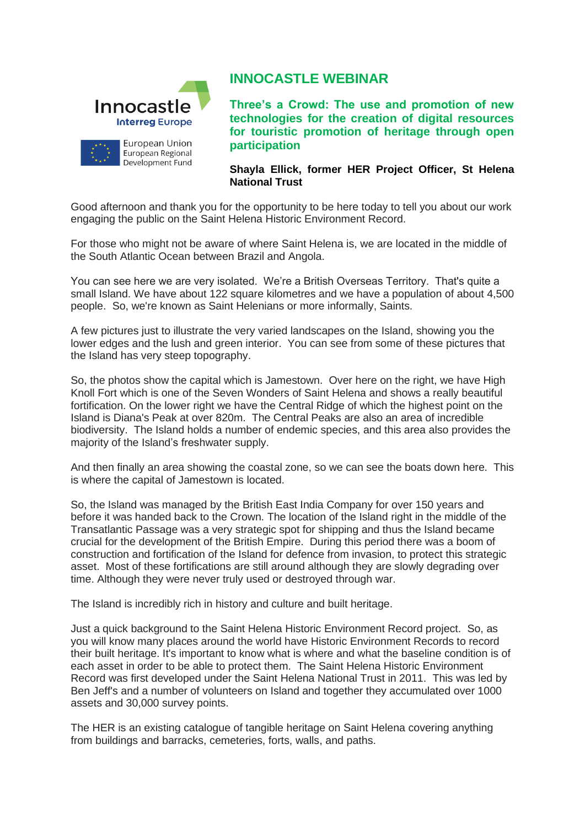

## **INNOCASTLE WEBINAR**

**Three's a Crowd: The use and promotion of new technologies for the creation of digital resources for touristic promotion of heritage through open participation**

**Shayla Ellick, former HER Project Officer, St Helena National Trust**

Good afternoon and thank you for the opportunity to be here today to tell you about our work engaging the public on the Saint Helena Historic Environment Record.

For those who might not be aware of where Saint Helena is, we are located in the middle of the South Atlantic Ocean between Brazil and Angola.

You can see here we are very isolated. We're a British Overseas Territory. That's quite a small Island. We have about 122 square kilometres and we have a population of about 4,500 people. So, we're known as Saint Helenians or more informally, Saints.

A few pictures just to illustrate the very varied landscapes on the Island, showing you the lower edges and the lush and green interior. You can see from some of these pictures that the Island has very steep topography.

So, the photos show the capital which is Jamestown. Over here on the right, we have High Knoll Fort which is one of the Seven Wonders of Saint Helena and shows a really beautiful fortification. On the lower right we have the Central Ridge of which the highest point on the Island is Diana's Peak at over 820m. The Central Peaks are also an area of incredible biodiversity. The Island holds a number of endemic species, and this area also provides the majority of the Island's freshwater supply.

And then finally an area showing the coastal zone, so we can see the boats down here. This is where the capital of Jamestown is located.

So, the Island was managed by the British East India Company for over 150 years and before it was handed back to the Crown. The location of the Island right in the middle of the Transatlantic Passage was a very strategic spot for shipping and thus the Island became crucial for the development of the British Empire. During this period there was a boom of construction and fortification of the Island for defence from invasion, to protect this strategic asset. Most of these fortifications are still around although they are slowly degrading over time. Although they were never truly used or destroyed through war.

The Island is incredibly rich in history and culture and built heritage.

Just a quick background to the Saint Helena Historic Environment Record project. So, as you will know many places around the world have Historic Environment Records to record their built heritage. It's important to know what is where and what the baseline condition is of each asset in order to be able to protect them. The Saint Helena Historic Environment Record was first developed under the Saint Helena National Trust in 2011. This was led by Ben Jeff's and a number of volunteers on Island and together they accumulated over 1000 assets and 30,000 survey points.

The HER is an existing catalogue of tangible heritage on Saint Helena covering anything from buildings and barracks, cemeteries, forts, walls, and paths.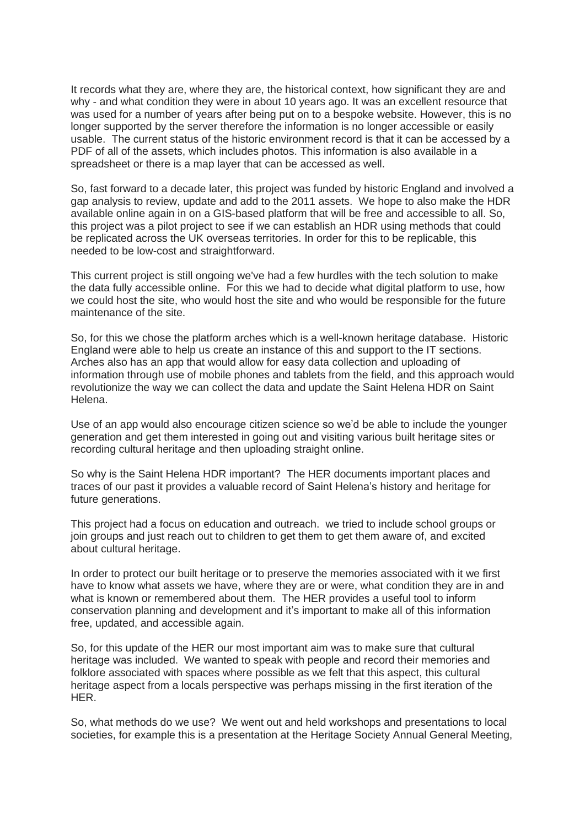It records what they are, where they are, the historical context, how significant they are and why - and what condition they were in about 10 years ago. It was an excellent resource that was used for a number of years after being put on to a bespoke website. However, this is no longer supported by the server therefore the information is no longer accessible or easily usable. The current status of the historic environment record is that it can be accessed by a PDF of all of the assets, which includes photos. This information is also available in a spreadsheet or there is a map layer that can be accessed as well.

So, fast forward to a decade later, this project was funded by historic England and involved a gap analysis to review, update and add to the 2011 assets. We hope to also make the HDR available online again in on a GIS-based platform that will be free and accessible to all. So, this project was a pilot project to see if we can establish an HDR using methods that could be replicated across the UK overseas territories. In order for this to be replicable, this needed to be low-cost and straightforward.

This current project is still ongoing we've had a few hurdles with the tech solution to make the data fully accessible online. For this we had to decide what digital platform to use, how we could host the site, who would host the site and who would be responsible for the future maintenance of the site.

So, for this we chose the platform arches which is a well-known heritage database. Historic England were able to help us create an instance of this and support to the IT sections. Arches also has an app that would allow for easy data collection and uploading of information through use of mobile phones and tablets from the field, and this approach would revolutionize the way we can collect the data and update the Saint Helena HDR on Saint Helena.

Use of an app would also encourage citizen science so we'd be able to include the younger generation and get them interested in going out and visiting various built heritage sites or recording cultural heritage and then uploading straight online.

So why is the Saint Helena HDR important? The HER documents important places and traces of our past it provides a valuable record of Saint Helena's history and heritage for future generations.

This project had a focus on education and outreach. we tried to include school groups or join groups and just reach out to children to get them to get them aware of, and excited about cultural heritage.

In order to protect our built heritage or to preserve the memories associated with it we first have to know what assets we have, where they are or were, what condition they are in and what is known or remembered about them. The HER provides a useful tool to inform conservation planning and development and it's important to make all of this information free, updated, and accessible again.

So, for this update of the HER our most important aim was to make sure that cultural heritage was included. We wanted to speak with people and record their memories and folklore associated with spaces where possible as we felt that this aspect, this cultural heritage aspect from a locals perspective was perhaps missing in the first iteration of the HER.

So, what methods do we use? We went out and held workshops and presentations to local societies, for example this is a presentation at the Heritage Society Annual General Meeting,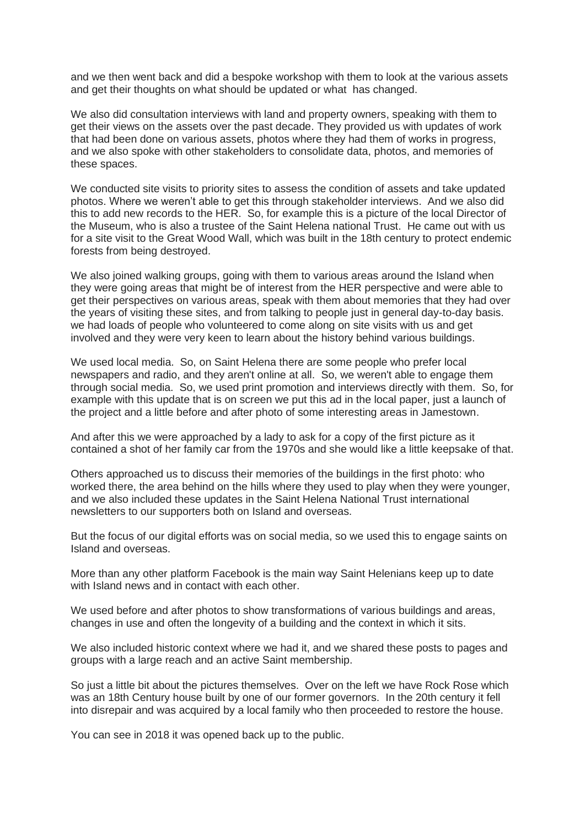and we then went back and did a bespoke workshop with them to look at the various assets and get their thoughts on what should be updated or what has changed.

We also did consultation interviews with land and property owners, speaking with them to get their views on the assets over the past decade. They provided us with updates of work that had been done on various assets, photos where they had them of works in progress, and we also spoke with other stakeholders to consolidate data, photos, and memories of these spaces.

We conducted site visits to priority sites to assess the condition of assets and take updated photos. Where we weren't able to get this through stakeholder interviews. And we also did this to add new records to the HER. So, for example this is a picture of the local Director of the Museum, who is also a trustee of the Saint Helena national Trust. He came out with us for a site visit to the Great Wood Wall, which was built in the 18th century to protect endemic forests from being destroyed.

We also joined walking groups, going with them to various areas around the Island when they were going areas that might be of interest from the HER perspective and were able to get their perspectives on various areas, speak with them about memories that they had over the years of visiting these sites, and from talking to people just in general day-to-day basis. we had loads of people who volunteered to come along on site visits with us and get involved and they were very keen to learn about the history behind various buildings.

We used local media. So, on Saint Helena there are some people who prefer local newspapers and radio, and they aren't online at all. So, we weren't able to engage them through social media. So, we used print promotion and interviews directly with them. So, for example with this update that is on screen we put this ad in the local paper, just a launch of the project and a little before and after photo of some interesting areas in Jamestown.

And after this we were approached by a lady to ask for a copy of the first picture as it contained a shot of her family car from the 1970s and she would like a little keepsake of that.

Others approached us to discuss their memories of the buildings in the first photo: who worked there, the area behind on the hills where they used to play when they were younger, and we also included these updates in the Saint Helena National Trust international newsletters to our supporters both on Island and overseas.

But the focus of our digital efforts was on social media, so we used this to engage saints on Island and overseas.

More than any other platform Facebook is the main way Saint Helenians keep up to date with Island news and in contact with each other.

We used before and after photos to show transformations of various buildings and areas, changes in use and often the longevity of a building and the context in which it sits.

We also included historic context where we had it, and we shared these posts to pages and groups with a large reach and an active Saint membership.

So just a little bit about the pictures themselves. Over on the left we have Rock Rose which was an 18th Century house built by one of our former governors. In the 20th century it fell into disrepair and was acquired by a local family who then proceeded to restore the house.

You can see in 2018 it was opened back up to the public.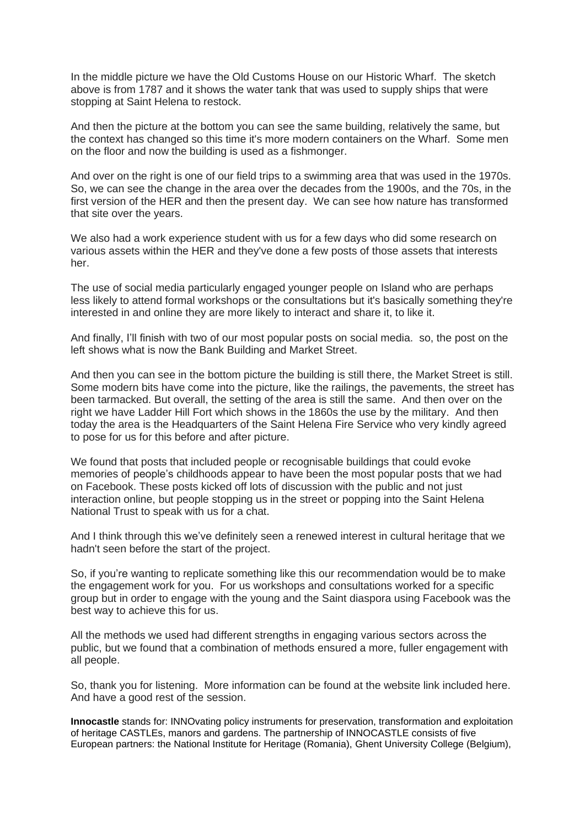In the middle picture we have the Old Customs House on our Historic Wharf. The sketch above is from 1787 and it shows the water tank that was used to supply ships that were stopping at Saint Helena to restock.

And then the picture at the bottom you can see the same building, relatively the same, but the context has changed so this time it's more modern containers on the Wharf. Some men on the floor and now the building is used as a fishmonger.

And over on the right is one of our field trips to a swimming area that was used in the 1970s. So, we can see the change in the area over the decades from the 1900s, and the 70s, in the first version of the HER and then the present day. We can see how nature has transformed that site over the years.

We also had a work experience student with us for a few days who did some research on various assets within the HER and they've done a few posts of those assets that interests her.

The use of social media particularly engaged younger people on Island who are perhaps less likely to attend formal workshops or the consultations but it's basically something they're interested in and online they are more likely to interact and share it, to like it.

And finally, I'll finish with two of our most popular posts on social media. so, the post on the left shows what is now the Bank Building and Market Street.

And then you can see in the bottom picture the building is still there, the Market Street is still. Some modern bits have come into the picture, like the railings, the pavements, the street has been tarmacked. But overall, the setting of the area is still the same. And then over on the right we have Ladder Hill Fort which shows in the 1860s the use by the military. And then today the area is the Headquarters of the Saint Helena Fire Service who very kindly agreed to pose for us for this before and after picture.

We found that posts that included people or recognisable buildings that could evoke memories of people's childhoods appear to have been the most popular posts that we had on Facebook. These posts kicked off lots of discussion with the public and not just interaction online, but people stopping us in the street or popping into the Saint Helena National Trust to speak with us for a chat.

And I think through this we've definitely seen a renewed interest in cultural heritage that we hadn't seen before the start of the project.

So, if you're wanting to replicate something like this our recommendation would be to make the engagement work for you. For us workshops and consultations worked for a specific group but in order to engage with the young and the Saint diaspora using Facebook was the best way to achieve this for us.

All the methods we used had different strengths in engaging various sectors across the public, but we found that a combination of methods ensured a more, fuller engagement with all people.

So, thank you for listening. More information can be found at the website link included here. And have a good rest of the session.

**Innocastle** stands for: INNOvating policy instruments for preservation, transformation and exploitation of heritage CASTLEs, manors and gardens. The partnership of INNOCASTLE consists of five European partners: the National Institute for Heritage (Romania), Ghent University College (Belgium),